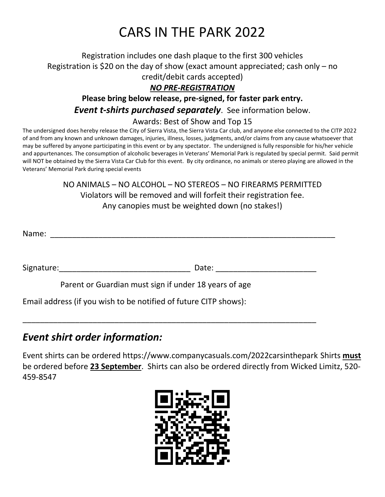## CARS IN THE PARK 2022

Registration includes one dash plaque to the first 300 vehicles Registration is \$20 on the day of show (exact amount appreciated; cash only – no credit/debit cards accepted)

### *NO PRE-REGISTRATION*

## **Please bring below release, pre-signed, for faster park entry.** *Event t-shirts purchased separately*. See information below.

#### Awards: Best of Show and Top 15

The undersigned does hereby release the City of Sierra Vista, the Sierra Vista Car club, and anyone else connected to the CITP 2022 of and from any known and unknown damages, injuries, illness, losses, judgments, and/or claims from any cause whatsoever that may be suffered by anyone participating in this event or by any spectator. The undersigned is fully responsible for his/her vehicle and appurtenances. The consumption of alcoholic beverages in Veterans' Memorial Park is regulated by special permit. Said permit will NOT be obtained by the Sierra Vista Car Club for this event. By city ordinance, no animals or stereo playing are allowed in the Veterans' Memorial Park during special events

> NO ANIMALS – NO ALCOHOL – NO STEREOS – NO FIREARMS PERMITTED Violators will be removed and will forfeit their registration fee. Any canopies must be weighted down (no stakes!)

Name:

Signature:\_\_\_\_\_\_\_\_\_\_\_\_\_\_\_\_\_\_\_\_\_\_\_\_\_\_\_\_\_\_ Date: \_\_\_\_\_\_\_\_\_\_\_\_\_\_\_\_\_\_\_\_\_\_\_

Parent or Guardian must sign if under 18 years of age

\_\_\_\_\_\_\_\_\_\_\_\_\_\_\_\_\_\_\_\_\_\_\_\_\_\_\_\_\_\_\_\_\_\_\_\_\_\_\_\_\_\_\_\_\_\_\_\_\_\_\_\_\_\_\_\_\_\_\_\_\_\_\_\_\_\_\_

Email address (if you wish to be notified of future CITP shows):

## *Event shirt order information:*

Event shirts can be ordered https://www.companycasuals.com/2022carsinthepark Shirts **must** be ordered before **23 September**. Shirts can also be ordered directly from Wicked Limitz, 520- 459-8547